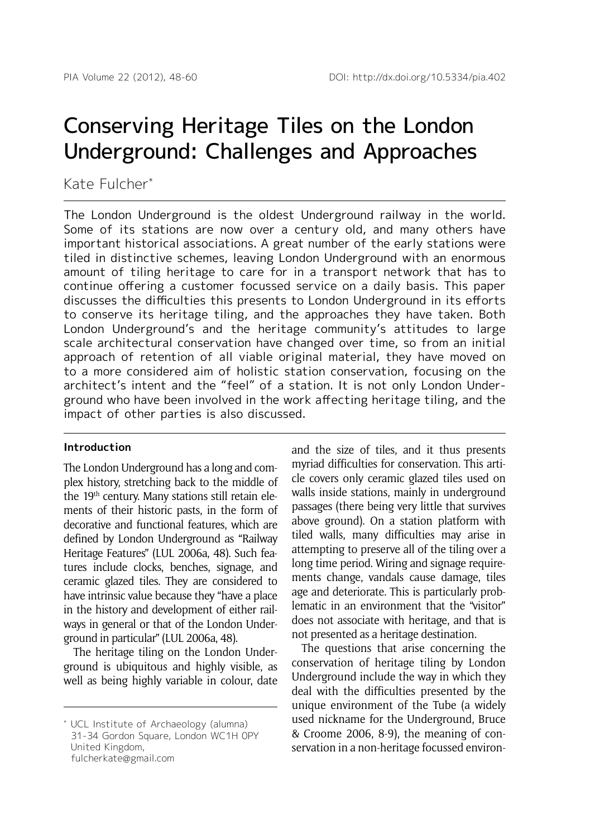# Conserving Heritage Tiles on the London Underground: Challenges and Approaches

Kate Fulcher\*

The London Underground is the oldest Underground railway in the world. Some of its stations are now over a century old, and many others have important historical associations. A great number of the early stations were tiled in distinctive schemes, leaving London Underground with an enormous amount of tiling heritage to care for in a transport network that has to continue offering a customer focussed service on a daily basis. This paper discusses the difficulties this presents to London Underground in its efforts to conserve its heritage tiling, and the approaches they have taken. Both London Underground's and the heritage community's attitudes to large scale architectural conservation have changed over time, so from an initial approach of retention of all viable original material, they have moved on to a more considered aim of holistic station conservation, focusing on the architect's intent and the "feel" of a station. It is not only London Underground who have been involved in the work affecting heritage tiling, and the impact of other parties is also discussed.

#### **Introduction**

The London Underground has a long and complex history, stretching back to the middle of the 19<sup>th</sup> century. Many stations still retain elements of their historic pasts, in the form of decorative and functional features, which are defined by London Underground as "Railway Heritage Features" (LUL 2006a, 48). Such features include clocks, benches, signage, and ceramic glazed tiles. They are considered to have intrinsic value because they "have a place in the history and development of either railways in general or that of the London Underground in particular" (LUL 2006a, 48).

The heritage tiling on the London Underground is ubiquitous and highly visible, as well as being highly variable in colour, date and the size of tiles, and it thus presents myriad difficulties for conservation. This article covers only ceramic glazed tiles used on walls inside stations, mainly in underground passages (there being very little that survives above ground). On a station platform with tiled walls, many difficulties may arise in attempting to preserve all of the tiling over a long time period. Wiring and signage requirements change, vandals cause damage, tiles age and deteriorate. This is particularly problematic in an environment that the "visitor" does not associate with heritage, and that is not presented as a heritage destination.

The questions that arise concerning the conservation of heritage tiling by London Underground include the way in which they deal with the difficulties presented by the unique environment of the Tube (a widely used nickname for the Underground, Bruce & Croome 2006, 8-9), the meaning of conservation in a non-heritage focussed environ-

<sup>\*</sup> UCL Institute of Archaeology (alumna) 31-34 Gordon Square, London WC1H 0PY United Kingdom, fulcherkate@gmail.com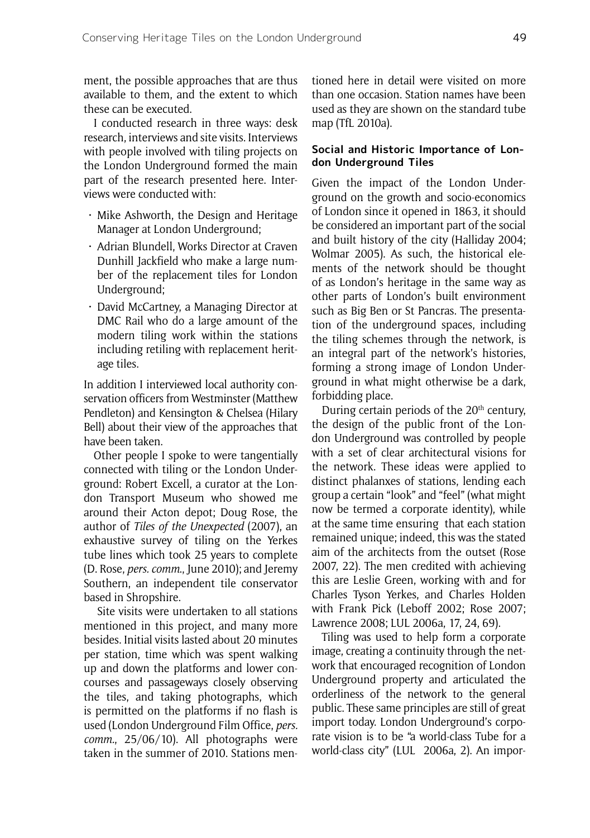ment, the possible approaches that are thus available to them, and the extent to which these can be executed.

I conducted research in three ways: desk research, interviews and site visits. Interviews with people involved with tiling projects on the London Underground formed the main part of the research presented here. Interviews were conducted with:

- • Mike Ashworth, the Design and Heritage Manager at London Underground;
- • Adrian Blundell, Works Director at Craven Dunhill Jackfield who make a large number of the replacement tiles for London Underground;
- David McCartney, a Managing Director at DMC Rail who do a large amount of the modern tiling work within the stations including retiling with replacement heritage tiles.

In addition I interviewed local authority conservation officers from Westminster (Matthew Pendleton) and Kensington & Chelsea (Hilary Bell) about their view of the approaches that have been taken.

Other people I spoke to were tangentially connected with tiling or the London Underground: Robert Excell, a curator at the London Transport Museum who showed me around their Acton depot; Doug Rose, the author of *Tiles of the Unexpected* (2007), an exhaustive survey of tiling on the Yerkes tube lines which took 25 years to complete (D. Rose, *pers. comm*., June 2010); and Jeremy Southern, an independent tile conservator based in Shropshire.

 Site visits were undertaken to all stations mentioned in this project, and many more besides. Initial visits lasted about 20 minutes per station, time which was spent walking up and down the platforms and lower concourses and passageways closely observing the tiles, and taking photographs, which is permitted on the platforms if no flash is used (London Underground Film Office, *pers. comm.*, 25/06/10). All photographs were taken in the summer of 2010. Stations mentioned here in detail were visited on more than one occasion. Station names have been used as they are shown on the standard tube map (TfL 2010a).

#### **Social and Historic Importance of London Underground Tiles**

Given the impact of the London Underground on the growth and socio-economics of London since it opened in 1863, it should be considered an important part of the social and built history of the city (Halliday 2004; Wolmar 2005). As such, the historical elements of the network should be thought of as London's heritage in the same way as other parts of London's built environment such as Big Ben or St Pancras. The presentation of the underground spaces, including the tiling schemes through the network, is an integral part of the network's histories, forming a strong image of London Underground in what might otherwise be a dark, forbidding place.

During certain periods of the 20<sup>th</sup> century, the design of the public front of the London Underground was controlled by people with a set of clear architectural visions for the network. These ideas were applied to distinct phalanxes of stations, lending each group a certain "look" and "feel" (what might now be termed a corporate identity), while at the same time ensuring that each station remained unique; indeed, this was the stated aim of the architects from the outset (Rose 2007, 22). The men credited with achieving this are Leslie Green, working with and for Charles Tyson Yerkes, and Charles Holden with Frank Pick (Leboff 2002; Rose 2007; Lawrence 2008; LUL 2006a, 17, 24, 69).

Tiling was used to help form a corporate image, creating a continuity through the network that encouraged recognition of London Underground property and articulated the orderliness of the network to the general public. These same principles are still of great import today. London Underground's corporate vision is to be "a world-class Tube for a world-class city" (LUL 2006a, 2). An impor-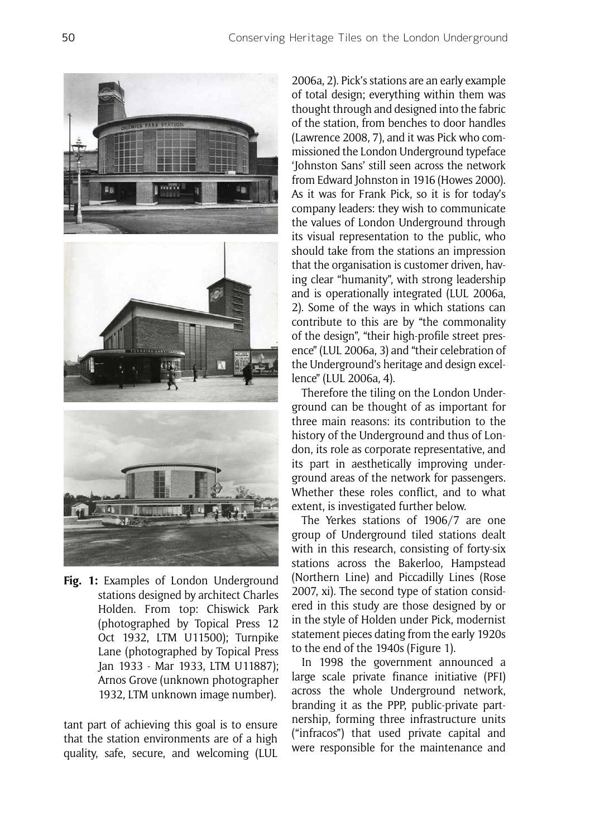

**Fig. 1:** Examples of London Underground stations designed by architect Charles Holden. From top: Chiswick Park (photographed by Topical Press 12 Oct 1932, LTM U11500); Turnpike Lane (photographed by Topical Press Jan 1933 - Mar 1933, LTM U11887); Arnos Grove (unknown photographer 1932, LTM unknown image number).

tant part of achieving this goal is to ensure that the station environments are of a high quality, safe, secure, and welcoming (LUL 2006a, 2). Pick's stations are an early example of total design; everything within them was thought through and designed into the fabric of the station, from benches to door handles (Lawrence 2008, 7), and it was Pick who commissioned the London Underground typeface 'Johnston Sans' still seen across the network from Edward Johnston in 1916 (Howes 2000). As it was for Frank Pick, so it is for today's company leaders: they wish to communicate the values of London Underground through its visual representation to the public, who should take from the stations an impression that the organisation is customer driven, having clear "humanity", with strong leadership and is operationally integrated (LUL 2006a, 2). Some of the ways in which stations can contribute to this are by "the commonality of the design", "their high-profile street presence" (LUL 2006a, 3) and "their celebration of the Underground's heritage and design excellence" (LUL 2006a, 4).

Therefore the tiling on the London Underground can be thought of as important for three main reasons: its contribution to the history of the Underground and thus of London, its role as corporate representative, and its part in aesthetically improving underground areas of the network for passengers. Whether these roles conflict, and to what extent, is investigated further below.

The Yerkes stations of 1906/7 are one group of Underground tiled stations dealt with in this research, consisting of forty-six stations across the Bakerloo, Hampstead (Northern Line) and Piccadilly Lines (Rose 2007, xi). The second type of station considered in this study are those designed by or in the style of Holden under Pick, modernist statement pieces dating from the early 1920s to the end of the 1940s (Figure 1).

In 1998 the government announced a large scale private finance initiative (PFI) across the whole Underground network, branding it as the PPP, public-private partnership, forming three infrastructure units ("infracos") that used private capital and were responsible for the maintenance and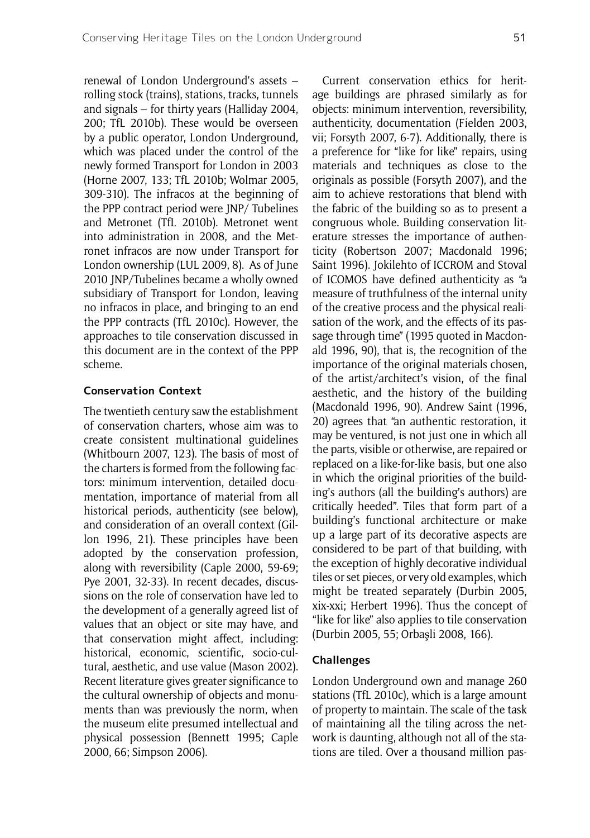renewal of London Underground's assets – rolling stock (trains), stations, tracks, tunnels and signals – for thirty years (Halliday 2004, 200; TfL 2010b). These would be overseen by a public operator, London Underground, which was placed under the control of the newly formed Transport for London in 2003 (Horne 2007, 133; TfL 2010b; Wolmar 2005, 309-310). The infracos at the beginning of the PPP contract period were JNP/ Tubelines and Metronet (TfL 2010b). Metronet went into administration in 2008, and the Metronet infracos are now under Transport for London ownership (LUL 2009, 8). As of June 2010 JNP/Tubelines became a wholly owned subsidiary of Transport for London, leaving no infracos in place, and bringing to an end the PPP contracts (TfL 2010c). However, the approaches to tile conservation discussed in this document are in the context of the PPP scheme.

#### **Conservation Context**

The twentieth century saw the establishment of conservation charters, whose aim was to create consistent multinational guidelines (Whitbourn 2007, 123). The basis of most of the charters is formed from the following factors: minimum intervention, detailed documentation, importance of material from all historical periods, authenticity (see below), and consideration of an overall context (Gillon 1996, 21). These principles have been adopted by the conservation profession, along with reversibility (Caple 2000, 59-69; Pye 2001, 32-33). In recent decades, discussions on the role of conservation have led to the development of a generally agreed list of values that an object or site may have, and that conservation might affect, including: historical, economic, scientific, socio-cultural, aesthetic, and use value (Mason 2002). Recent literature gives greater significance to the cultural ownership of objects and monuments than was previously the norm, when the museum elite presumed intellectual and physical possession (Bennett 1995; Caple 2000, 66; Simpson 2006).

Current conservation ethics for heritage buildings are phrased similarly as for objects: minimum intervention, reversibility, authenticity, documentation (Fielden 2003, vii; Forsyth 2007, 6-7). Additionally, there is a preference for "like for like" repairs, using materials and techniques as close to the originals as possible (Forsyth 2007), and the aim to achieve restorations that blend with the fabric of the building so as to present a congruous whole. Building conservation literature stresses the importance of authenticity (Robertson 2007; Macdonald 1996; Saint 1996). Jokilehto of ICCROM and Stoval of ICOMOS have defined authenticity as "a measure of truthfulness of the internal unity of the creative process and the physical realisation of the work, and the effects of its passage through time" (1995 quoted in Macdonald 1996, 90), that is, the recognition of the importance of the original materials chosen, of the artist/architect's vision, of the final aesthetic, and the history of the building (Macdonald 1996, 90). Andrew Saint (1996, 20) agrees that "an authentic restoration, it may be ventured, is not just one in which all the parts, visible or otherwise, are repaired or replaced on a like-for-like basis, but one also in which the original priorities of the building's authors (all the building's authors) are critically heeded". Tiles that form part of a building's functional architecture or make up a large part of its decorative aspects are considered to be part of that building, with the exception of highly decorative individual tiles or set pieces, or very old examples, which might be treated separately (Durbin 2005, xix-xxi; Herbert 1996). Thus the concept of "like for like" also applies to tile conservation (Durbin 2005, 55; Orbaşli 2008, 166).

#### **Challenges**

London Underground own and manage 260 stations (TfL 2010c), which is a large amount of property to maintain. The scale of the task of maintaining all the tiling across the network is daunting, although not all of the stations are tiled. Over a thousand million pas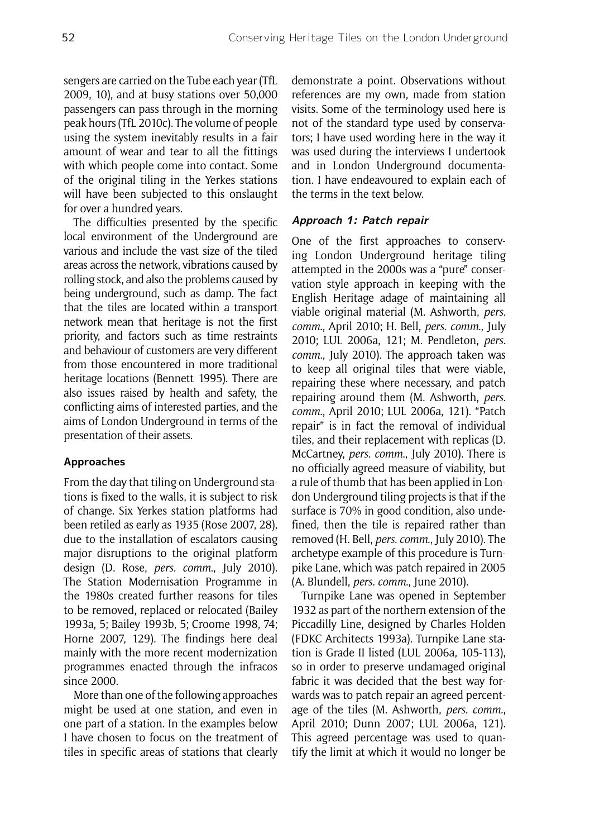sengers are carried on the Tube each year (TfL 2009, 10), and at busy stations over 50,000 passengers can pass through in the morning peak hours (TfL 2010c). The volume of people using the system inevitably results in a fair amount of wear and tear to all the fittings with which people come into contact. Some of the original tiling in the Yerkes stations will have been subjected to this onslaught for over a hundred years.

The difficulties presented by the specific local environment of the Underground are various and include the vast size of the tiled areas across the network, vibrations caused by rolling stock, and also the problems caused by being underground, such as damp. The fact that the tiles are located within a transport network mean that heritage is not the first priority, and factors such as time restraints and behaviour of customers are very different from those encountered in more traditional heritage locations (Bennett 1995). There are also issues raised by health and safety, the conflicting aims of interested parties, and the aims of London Underground in terms of the presentation of their assets.

### **Approaches**

From the day that tiling on Underground stations is fixed to the walls, it is subject to risk of change. Six Yerkes station platforms had been retiled as early as 1935 (Rose 2007, 28), due to the installation of escalators causing major disruptions to the original platform design (D. Rose, *pers. comm*., July 2010). The Station Modernisation Programme in the 1980s created further reasons for tiles to be removed, replaced or relocated (Bailey 1993a, 5; Bailey 1993b, 5; Croome 1998, 74; Horne 2007, 129). The findings here deal mainly with the more recent modernization programmes enacted through the infracos since 2000.

More than one of the following approaches might be used at one station, and even in one part of a station. In the examples below I have chosen to focus on the treatment of tiles in specific areas of stations that clearly demonstrate a point. Observations without references are my own, made from station visits. Some of the terminology used here is not of the standard type used by conservators; I have used wording here in the way it was used during the interviews I undertook and in London Underground documentation. I have endeavoured to explain each of the terms in the text below.

## **Approach 1: Patch repair**

One of the first approaches to conserving London Underground heritage tiling attempted in the 2000s was a "pure" conservation style approach in keeping with the English Heritage adage of maintaining all viable original material (M. Ashworth, *pers. comm*., April 2010; H. Bell, *pers. comm*., July 2010; LUL 2006a, 121; M. Pendleton, *pers. comm*., July 2010). The approach taken was to keep all original tiles that were viable, repairing these where necessary, and patch repairing around them (M. Ashworth, *pers. comm*., April 2010; LUL 2006a, 121). "Patch repair" is in fact the removal of individual tiles, and their replacement with replicas (D. McCartney, *pers. comm*., July 2010). There is no officially agreed measure of viability, but a rule of thumb that has been applied in London Underground tiling projects is that if the surface is 70% in good condition, also undefined, then the tile is repaired rather than removed (H. Bell, *pers. comm*., July 2010). The archetype example of this procedure is Turnpike Lane, which was patch repaired in 2005 (A. Blundell, *pers. comm*., June 2010).

Turnpike Lane was opened in September 1932 as part of the northern extension of the Piccadilly Line, designed by Charles Holden (FDKC Architects 1993a). Turnpike Lane station is Grade II listed (LUL 2006a, 105-113), so in order to preserve undamaged original fabric it was decided that the best way forwards was to patch repair an agreed percentage of the tiles (M. Ashworth, *pers. comm*., April 2010; Dunn 2007; LUL 2006a, 121). This agreed percentage was used to quantify the limit at which it would no longer be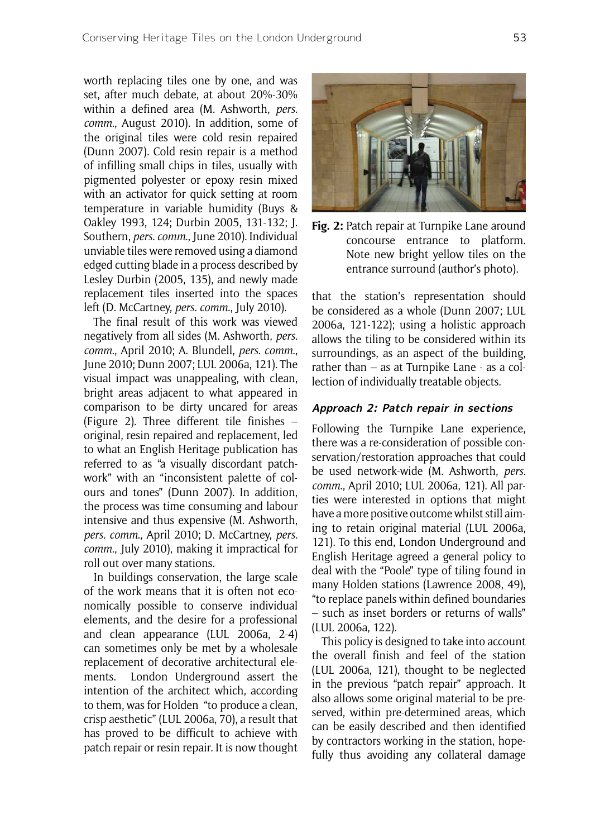worth replacing tiles one by one, and was set, after much debate, at about 20%-30% within a defined area (M. Ashworth, *pers. comm*., August 2010). In addition, some of the original tiles were cold resin repaired (Dunn 2007). Cold resin repair is a method of infilling small chips in tiles, usually with pigmented polyester or epoxy resin mixed with an activator for quick setting at room temperature in variable humidity (Buys & Oakley 1993, 124; Durbin 2005, 131-132; J. Southern, *pers. comm*., June 2010). Individual unviable tiles were removed using a diamond edged cutting blade in a process described by Lesley Durbin (2005, 135), and newly made replacement tiles inserted into the spaces left (D. McCartney, *pers. comm*., July 2010).

The final result of this work was viewed negatively from all sides (M. Ashworth, *pers. comm*., April 2010; A. Blundell, *pers. comm*., June 2010; Dunn 2007; LUL 2006a, 121). The visual impact was unappealing, with clean, bright areas adjacent to what appeared in comparison to be dirty uncared for areas (Figure 2). Three different tile finishes – original, resin repaired and replacement, led to what an English Heritage publication has referred to as "a visually discordant patchwork" with an "inconsistent palette of colours and tones" (Dunn 2007). In addition, the process was time consuming and labour intensive and thus expensive (M. Ashworth, *pers. comm*., April 2010; D. McCartney, *pers. comm*., July 2010), making it impractical for roll out over many stations.

In buildings conservation, the large scale of the work means that it is often not economically possible to conserve individual elements, and the desire for a professional and clean appearance (LUL 2006a, 2-4) can sometimes only be met by a wholesale replacement of decorative architectural elements. London Underground assert the intention of the architect which, according to them, was for Holden "to produce a clean, crisp aesthetic" (LUL 2006a, 70), a result that has proved to be difficult to achieve with patch repair or resin repair. It is now thought



**Fig. 2:** Patch repair at Turnpike Lane around concourse entrance to platform. Note new bright yellow tiles on the entrance surround (author's photo).

that the station's representation should be considered as a whole (Dunn 2007; LUL 2006a, 121-122); using a holistic approach allows the tiling to be considered within its surroundings, as an aspect of the building, rather than – as at Turnpike Lane - as a collection of individually treatable objects.

#### **Approach 2: Patch repair in sections**

Following the Turnpike Lane experience, there was a re-consideration of possible conservation/restoration approaches that could be used network-wide (M. Ashworth, *pers. comm*., April 2010; LUL 2006a, 121). All parties were interested in options that might have a more positive outcome whilst still aiming to retain original material (LUL 2006a, 121). To this end, London Underground and English Heritage agreed a general policy to deal with the "Poole" type of tiling found in many Holden stations (Lawrence 2008, 49), "to replace panels within defined boundaries – such as inset borders or returns of walls" (LUL 2006a, 122).

This policy is designed to take into account the overall finish and feel of the station (LUL 2006a, 121), thought to be neglected in the previous "patch repair" approach. It also allows some original material to be preserved, within pre-determined areas, which can be easily described and then identified by contractors working in the station, hopefully thus avoiding any collateral damage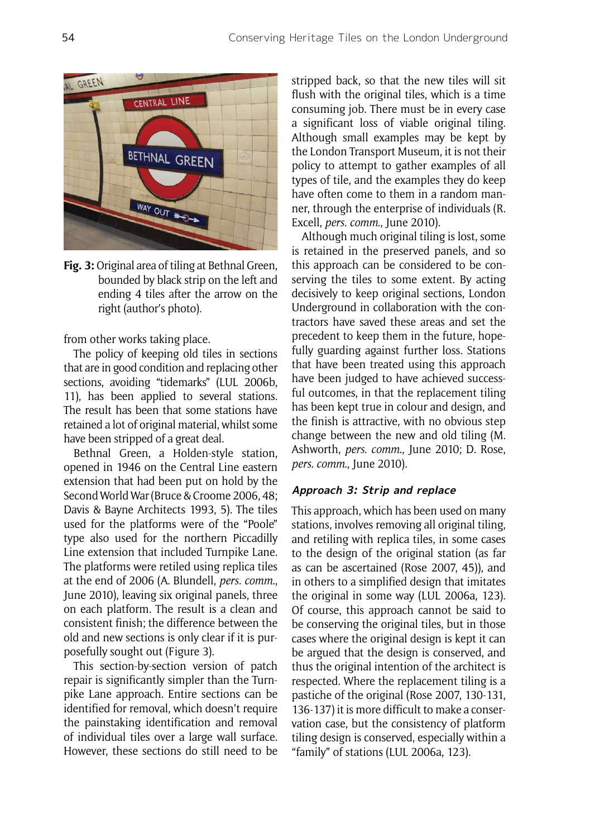

**Fig. 3:** Original area of tiling at Bethnal Green, bounded by black strip on the left and ending 4 tiles after the arrow on the right (author's photo).

from other works taking place.

The policy of keeping old tiles in sections that are in good condition and replacing other sections, avoiding "tidemarks" (LUL 2006b, 11), has been applied to several stations. The result has been that some stations have retained a lot of original material, whilst some have been stripped of a great deal.

Bethnal Green, a Holden-style station, opened in 1946 on the Central Line eastern extension that had been put on hold by the Second World War (Bruce & Croome 2006, 48; Davis & Bayne Architects 1993, 5). The tiles used for the platforms were of the "Poole" type also used for the northern Piccadilly Line extension that included Turnpike Lane. The platforms were retiled using replica tiles at the end of 2006 (A. Blundell, *pers. comm*., June 2010), leaving six original panels, three on each platform. The result is a clean and consistent finish; the difference between the old and new sections is only clear if it is purposefully sought out (Figure 3).

This section-by-section version of patch repair is significantly simpler than the Turnpike Lane approach. Entire sections can be identified for removal, which doesn't require the painstaking identification and removal of individual tiles over a large wall surface. However, these sections do still need to be stripped back, so that the new tiles will sit flush with the original tiles, which is a time consuming job. There must be in every case a significant loss of viable original tiling. Although small examples may be kept by the London Transport Museum, it is not their policy to attempt to gather examples of all types of tile, and the examples they do keep have often come to them in a random manner, through the enterprise of individuals (R. Excell, *pers. comm*., June 2010).

Although much original tiling is lost, some is retained in the preserved panels, and so this approach can be considered to be conserving the tiles to some extent. By acting decisively to keep original sections, London Underground in collaboration with the contractors have saved these areas and set the precedent to keep them in the future, hopefully guarding against further loss. Stations that have been treated using this approach have been judged to have achieved successful outcomes, in that the replacement tiling has been kept true in colour and design, and the finish is attractive, with no obvious step change between the new and old tiling (M. Ashworth, *pers. comm*., June 2010; D. Rose, *pers. comm*., June 2010).

#### **Approach 3: Strip and replace**

This approach, which has been used on many stations, involves removing all original tiling, and retiling with replica tiles, in some cases to the design of the original station (as far as can be ascertained (Rose 2007, 45)), and in others to a simplified design that imitates the original in some way (LUL 2006a, 123). Of course, this approach cannot be said to be conserving the original tiles, but in those cases where the original design is kept it can be argued that the design is conserved, and thus the original intention of the architect is respected. Where the replacement tiling is a pastiche of the original (Rose 2007, 130-131, 136-137) it is more difficult to make a conservation case, but the consistency of platform tiling design is conserved, especially within a "family" of stations (LUL 2006a, 123).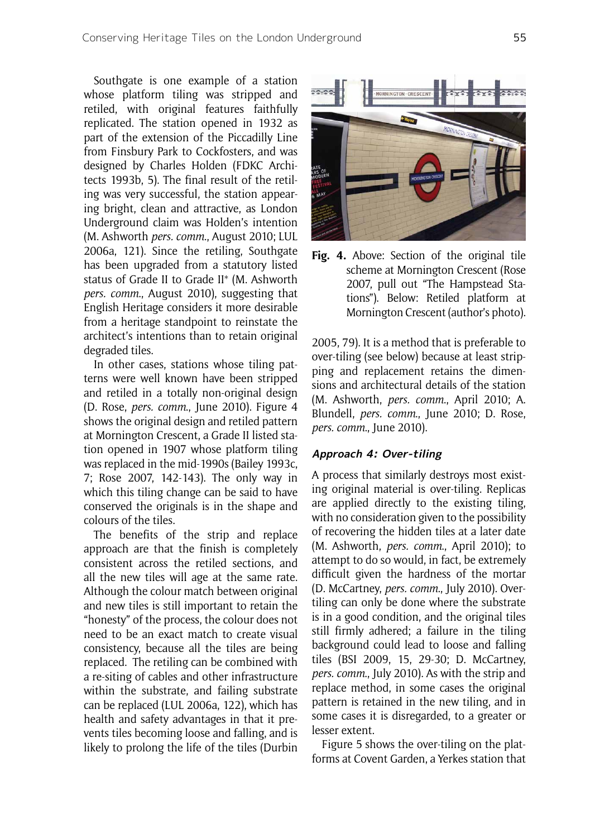Southgate is one example of a station whose platform tiling was stripped and retiled, with original features faithfully replicated. The station opened in 1932 as part of the extension of the Piccadilly Line from Finsbury Park to Cockfosters, and was designed by Charles Holden (FDKC Architects 1993b, 5). The final result of the retiling was very successful, the station appearing bright, clean and attractive, as London Underground claim was Holden's intention (M. Ashworth *pers. comm*., August 2010; LUL 2006a, 121). Since the retiling, Southgate has been upgraded from a statutory listed status of Grade II to Grade II\* (M. Ashworth *pers. comm*., August 2010), suggesting that English Heritage considers it more desirable from a heritage standpoint to reinstate the architect's intentions than to retain original degraded tiles.

In other cases, stations whose tiling patterns were well known have been stripped and retiled in a totally non-original design (D. Rose, *pers. comm*., June 2010). Figure 4 shows the original design and retiled pattern at Mornington Crescent, a Grade II listed station opened in 1907 whose platform tiling was replaced in the mid-1990s (Bailey 1993c, 7; Rose 2007, 142-143). The only way in which this tiling change can be said to have conserved the originals is in the shape and colours of the tiles.

The benefits of the strip and replace approach are that the finish is completely consistent across the retiled sections, and all the new tiles will age at the same rate. Although the colour match between original and new tiles is still important to retain the "honesty" of the process, the colour does not need to be an exact match to create visual consistency, because all the tiles are being replaced. The retiling can be combined with a re-siting of cables and other infrastructure within the substrate, and failing substrate can be replaced (LUL 2006a, 122), which has health and safety advantages in that it prevents tiles becoming loose and falling, and is likely to prolong the life of the tiles (Durbin



**Fig. 4.** Above: Section of the original tile scheme at Mornington Crescent (Rose 2007, pull out "The Hampstead Stations"). Below: Retiled platform at Mornington Crescent (author's photo).

2005, 79). It is a method that is preferable to over-tiling (see below) because at least stripping and replacement retains the dimensions and architectural details of the station (M. Ashworth, *pers. comm*., April 2010; A. Blundell, *pers. comm*., June 2010; D. Rose, *pers. comm*., June 2010).

#### **Approach 4: Over-tiling**

A process that similarly destroys most existing original material is over-tiling. Replicas are applied directly to the existing tiling, with no consideration given to the possibility of recovering the hidden tiles at a later date (M. Ashworth, *pers. comm*., April 2010); to attempt to do so would, in fact, be extremely difficult given the hardness of the mortar (D. McCartney, *pers. comm*., July 2010). Overtiling can only be done where the substrate is in a good condition, and the original tiles still firmly adhered; a failure in the tiling background could lead to loose and falling tiles (BSI 2009, 15, 29-30; D. McCartney, *pers. comm*., July 2010). As with the strip and replace method, in some cases the original pattern is retained in the new tiling, and in some cases it is disregarded, to a greater or lesser extent.

Figure 5 shows the over-tiling on the platforms at Covent Garden, a Yerkes station that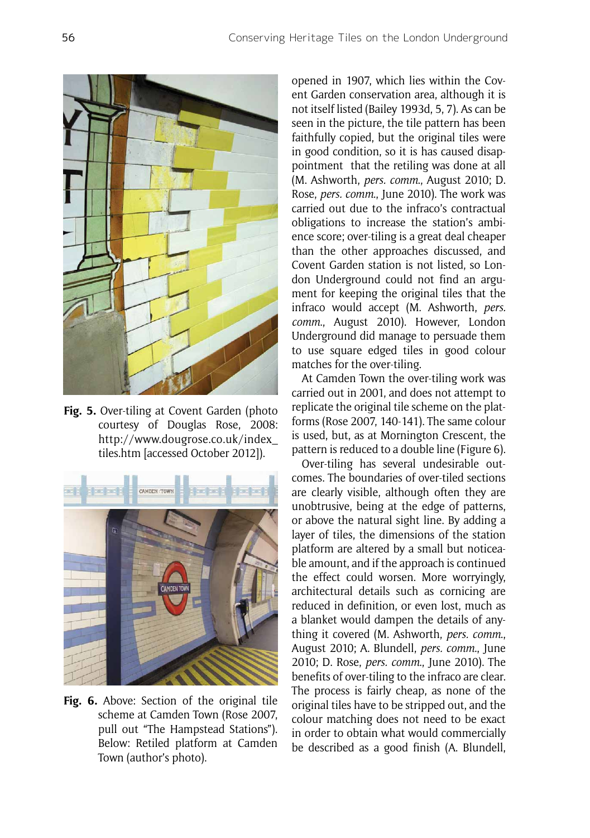

**Fig. 5.** Over-tiling at Covent Garden (photo courtesy of Douglas Rose, 2008: http://www.dougrose.co.uk/index\_ tiles.htm [accessed October 2012]).



**Fig. 6.** Above: Section of the original tile scheme at Camden Town (Rose 2007, pull out "The Hampstead Stations"). Below: Retiled platform at Camden Town (author's photo).

opened in 1907, which lies within the Covent Garden conservation area, although it is not itself listed (Bailey 1993d, 5, 7). As can be seen in the picture, the tile pattern has been faithfully copied, but the original tiles were in good condition, so it is has caused disappointment that the retiling was done at all (M. Ashworth, *pers. comm*., August 2010; D. Rose, *pers. comm*., June 2010). The work was carried out due to the infraco's contractual obligations to increase the station's ambience score; over-tiling is a great deal cheaper than the other approaches discussed, and Covent Garden station is not listed, so London Underground could not find an argument for keeping the original tiles that the infraco would accept (M. Ashworth, *pers. comm*., August 2010). However, London Underground did manage to persuade them to use square edged tiles in good colour matches for the over-tiling.

At Camden Town the over-tiling work was carried out in 2001, and does not attempt to replicate the original tile scheme on the platforms (Rose 2007, 140-141). The same colour is used, but, as at Mornington Crescent, the pattern is reduced to a double line (Figure 6).

Over-tiling has several undesirable outcomes. The boundaries of over-tiled sections are clearly visible, although often they are unobtrusive, being at the edge of patterns, or above the natural sight line. By adding a layer of tiles, the dimensions of the station platform are altered by a small but noticeable amount, and if the approach is continued the effect could worsen. More worryingly, architectural details such as cornicing are reduced in definition, or even lost, much as a blanket would dampen the details of anything it covered (M. Ashworth, *pers. comm*., August 2010; A. Blundell, *pers. comm*., June 2010; D. Rose, *pers. comm*., June 2010). The benefits of over-tiling to the infraco are clear. The process is fairly cheap, as none of the original tiles have to be stripped out, and the colour matching does not need to be exact in order to obtain what would commercially be described as a good finish (A. Blundell,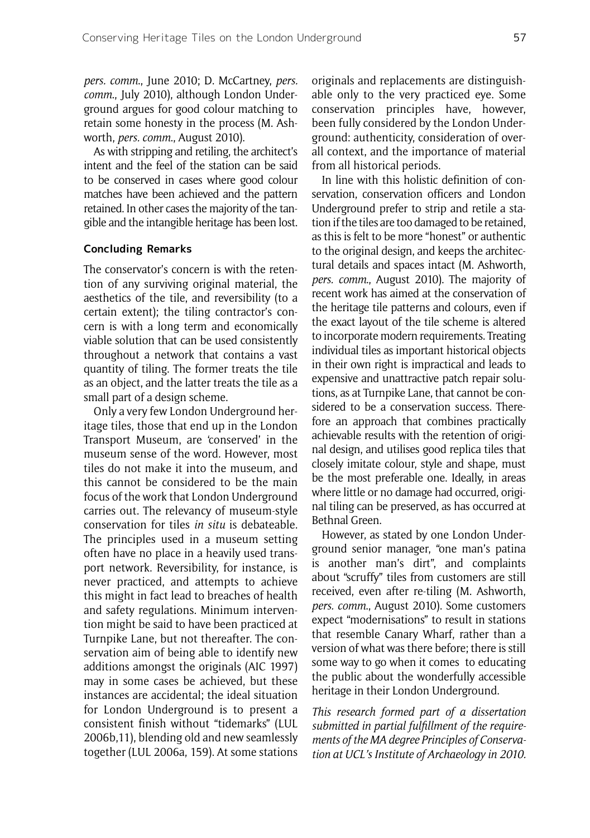*pers. comm*., June 2010; D. McCartney, *pers. comm*., July 2010), although London Underground argues for good colour matching to retain some honesty in the process (M. Ashworth, *pers. comm*., August 2010).

As with stripping and retiling, the architect's intent and the feel of the station can be said to be conserved in cases where good colour matches have been achieved and the pattern retained. In other cases the majority of the tangible and the intangible heritage has been lost.

#### **Concluding Remarks**

The conservator's concern is with the retention of any surviving original material, the aesthetics of the tile, and reversibility (to a certain extent); the tiling contractor's concern is with a long term and economically viable solution that can be used consistently throughout a network that contains a vast quantity of tiling. The former treats the tile as an object, and the latter treats the tile as a small part of a design scheme.

Only a very few London Underground heritage tiles, those that end up in the London Transport Museum, are 'conserved' in the museum sense of the word. However, most tiles do not make it into the museum, and this cannot be considered to be the main focus of the work that London Underground carries out. The relevancy of museum-style conservation for tiles *in situ* is debateable. The principles used in a museum setting often have no place in a heavily used transport network. Reversibility, for instance, is never practiced, and attempts to achieve this might in fact lead to breaches of health and safety regulations. Minimum intervention might be said to have been practiced at Turnpike Lane, but not thereafter. The conservation aim of being able to identify new additions amongst the originals (AIC 1997) may in some cases be achieved, but these instances are accidental; the ideal situation for London Underground is to present a consistent finish without "tidemarks" (LUL 2006b,11), blending old and new seamlessly together (LUL 2006a, 159). At some stations

originals and replacements are distinguishable only to the very practiced eye. Some conservation principles have, however, been fully considered by the London Underground: authenticity, consideration of overall context, and the importance of material from all historical periods.

In line with this holistic definition of conservation, conservation officers and London Underground prefer to strip and retile a station if the tiles are too damaged to be retained, as this is felt to be more "honest" or authentic to the original design, and keeps the architectural details and spaces intact (M. Ashworth, *pers. comm*., August 2010). The majority of recent work has aimed at the conservation of the heritage tile patterns and colours, even if the exact layout of the tile scheme is altered to incorporate modern requirements. Treating individual tiles as important historical objects in their own right is impractical and leads to expensive and unattractive patch repair solutions, as at Turnpike Lane, that cannot be considered to be a conservation success. Therefore an approach that combines practically achievable results with the retention of original design, and utilises good replica tiles that closely imitate colour, style and shape, must be the most preferable one. Ideally, in areas where little or no damage had occurred, original tiling can be preserved, as has occurred at Bethnal Green.

However, as stated by one London Underground senior manager, "one man's patina is another man's dirt", and complaints about "scruffy" tiles from customers are still received, even after re-tiling (M. Ashworth, *pers. comm*., August 2010). Some customers expect "modernisations" to result in stations that resemble Canary Wharf, rather than a version of what was there before; there is still some way to go when it comes to educating the public about the wonderfully accessible heritage in their London Underground.

*This research formed part of a dissertation submitted in partial fulfillment of the requirements of the MA degree Principles of Conservation at UCL's Institute of Archaeology in 2010.*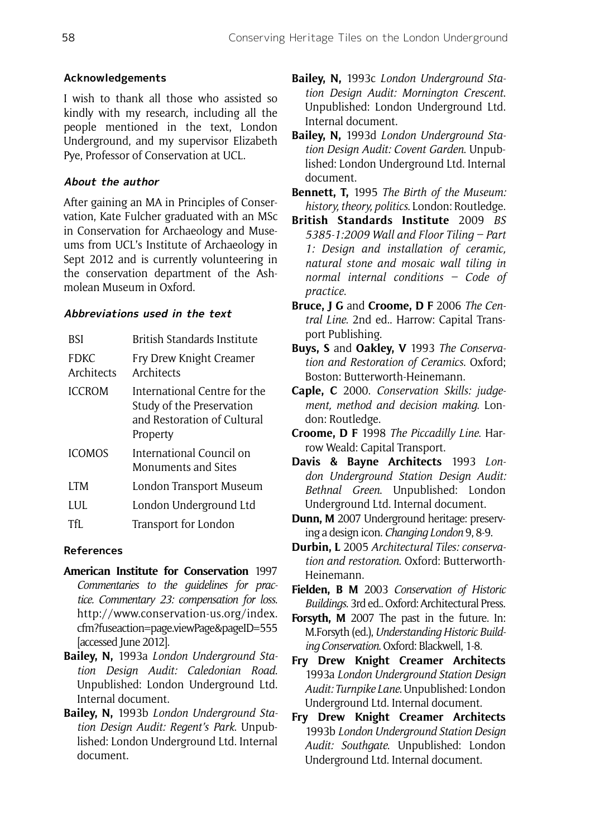# **Acknowledgements**

I wish to thank all those who assisted so kindly with my research, including all the people mentioned in the text, London Underground, and my supervisor Elizabeth Pye, Professor of Conservation at UCL.

# **About the author**

After gaining an MA in Principles of Conservation, Kate Fulcher graduated with an MSc in Conservation for Archaeology and Museums from UCL's Institute of Archaeology in Sept 2012 and is currently volunteering in the conservation department of the Ashmolean Museum in Oxford.

## **Abbreviations used in the text**

| BSI                 | British Standards Institute                                                                          |
|---------------------|------------------------------------------------------------------------------------------------------|
| FDKC.<br>Architects | Fry Drew Knight Creamer<br>Architects                                                                |
| <b>ICCROM</b>       | International Centre for the<br>Study of the Preservation<br>and Restoration of Cultural<br>Property |
| <b>ICOMOS</b>       | International Council on<br><b>Monuments and Sites</b>                                               |
| <b>ITM</b>          | London Transport Museum                                                                              |
| LUL.                | London Underground Ltd                                                                               |
| TfI                 | Transport for London                                                                                 |

## **References**

- **American Institute for Conservation** 1997 *Commentaries to the guidelines for practice. Commentary 23: compensation for loss*. http://www.conservation-us.org/index. cfm?fuseaction=page.viewPage&pageID=555 [accessed June 2012].
- **Bailey, N,** 1993a *London Underground Station Design Audit: Caledonian Road*. Unpublished: London Underground Ltd. Internal document.
- **Bailey, N,** 1993b *London Underground Station Design Audit: Regent's Park*. Unpublished: London Underground Ltd. Internal document.
- **Bailey, N,** 1993c *London Underground Station Design Audit: Mornington Crescent*. Unpublished: London Underground Ltd. Internal document.
- **Bailey, N,** 1993d *London Underground Station Design Audit: Covent Garden*. Unpublished: London Underground Ltd. Internal document.
- **Bennett, T,** 1995 *The Birth of the Museum: history, theory, politics*. London: Routledge.
- **British Standards Institute** 2009 *BS 5385-1:2009 Wall and Floor Tiling – Part 1: Design and installation of ceramic, natural stone and mosaic wall tiling in normal internal conditions – Code of practice*.
- **Bruce, J G** and **Croome, D F** 2006 *The Central Line*. 2nd ed.. Harrow: Capital Transport Publishing.
- **Buys, S** and **Oakley, V** 1993 *The Conservation and Restoration of Ceramics*. Oxford; Boston: Butterworth-Heinemann.
- **Caple, C** 2000. *Conservation Skills: judgement, method and decision making*. London: Routledge.
- **Croome, D F** 1998 *The Piccadilly Line*. Harrow Weald: Capital Transport.
- **Davis & Bayne Architects** 1993 *London Underground Station Design Audit: Bethnal Green*. Unpublished: London Underground Ltd. Internal document.
- **Dunn, M** 2007 Underground heritage: preserving a design icon. *Changing London* 9, 8-9.

**Durbin, L** 2005 *Architectural Tiles: conservation and restoration*. Oxford: Butterworth-Heinemann.

- **Fielden, B M** 2003 *Conservation of Historic Buildings*. 3rd ed.. Oxford: Architectural Press.
- **Forsyth, M** 2007 The past in the future. In: M.Forsyth (ed.), *Understanding Historic Building Conservation*. Oxford: Blackwell, 1-8.
- **Fry Drew Knight Creamer Architects**  1993a *London Underground Station Design Audit: Turnpike Lane*. Unpublished: London Underground Ltd. Internal document.
- **Fry Drew Knight Creamer Architects**  1993b *London Underground Station Design Audit: Southgate*. Unpublished: London Underground Ltd. Internal document.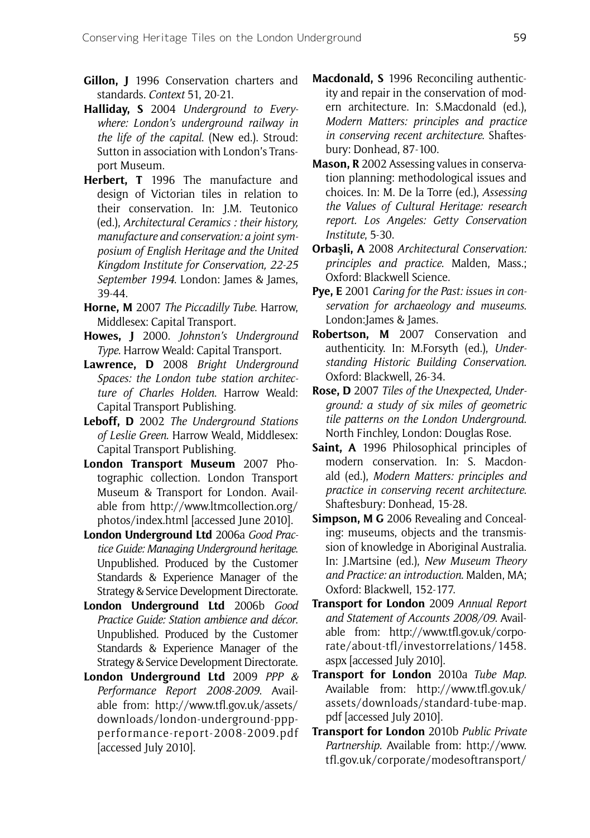- **Gillon, J** 1996 Conservation charters and standards. *Context* 51, 20-21.
- **Halliday, S** 2004 *Underground to Everywhere: London's underground railway in the life of the capital*. (New ed.). Stroud: Sutton in association with London's Transport Museum.
- **Herbert, T** 1996 The manufacture and design of Victorian tiles in relation to their conservation. In: J.M. Teutonico (ed.), *Architectural Ceramics : their history, manufacture and conservation: a joint symposium of English Heritage and the United Kingdom Institute for Conservation, 22-25 September 1994*. London: James & James, 39-44.
- **Horne, M** 2007 *The Piccadilly Tube*. Harrow, Middlesex: Capital Transport.
- **Howes, J** 2000. *Johnston's Underground Type*. Harrow Weald: Capital Transport.
- **Lawrence, D** 2008 *Bright Underground Spaces: the London tube station architecture of Charles Holden*. Harrow Weald: Capital Transport Publishing.
- **Leboff, D** 2002 *The Underground Stations of Leslie Green*. Harrow Weald, Middlesex: Capital Transport Publishing.
- **London Transport Museum** 2007 Photographic collection. London Transport Museum & Transport for London. Available from http://www.ltmcollection.org/ photos/index.html [accessed June 2010].
- **London Underground Ltd** 2006a *Good Practice Guide: Managing Underground heritage*. Unpublished. Produced by the Customer Standards & Experience Manager of the Strategy & Service Development Directorate.
- **London Underground Ltd** 2006b *Good Practice Guide: Station ambience and décor*. Unpublished. Produced by the Customer Standards & Experience Manager of the Strategy & Service Development Directorate.
- **London Underground Ltd** 2009 *PPP & Performance Report 2008-2009*. Available from: http://www.tfl.gov.uk/assets/ downloads/london-underground-pppperformance-report-2008-2009.pdf [accessed July 2010].
- **Macdonald, S** 1996 Reconciling authenticity and repair in the conservation of modern architecture. In: S.Macdonald (ed.), *Modern Matters: principles and practice in conserving recent architecture*. Shaftesbury: Donhead, 87-100.
- **Mason, R** 2002 Assessing values in conservation planning: methodological issues and choices. In: M. De la Torre (ed.), *Assessing the Values of Cultural Heritage: research report. Los Angeles: Getty Conservation Institute*, 5-30.
- **Orbaşli, A** 2008 *Architectural Conservation: principles and practice*. Malden, Mass.; Oxford: Blackwell Science.
- **Pye, E** 2001 *Caring for the Past: issues in conservation for archaeology and museums*. London:James & James.
- **Robertson, M** 2007 Conservation and authenticity. In: M.Forsyth (ed.), *Understanding Historic Building Conservation*. Oxford: Blackwell, 26-34.
- **Rose, D** 2007 *Tiles of the Unexpected, Underground: a study of six miles of geometric tile patterns on the London Underground*. North Finchley, London: Douglas Rose.
- **Saint, A** 1996 Philosophical principles of modern conservation. In: S. Macdonald (ed.), *Modern Matters: principles and practice in conserving recent architecture*. Shaftesbury: Donhead, 15-28.
- **Simpson, M G** 2006 Revealing and Concealing: museums, objects and the transmission of knowledge in Aboriginal Australia. In: J.Martsine (ed.), *New Museum Theory and Practice: an introduction*. Malden, MA; Oxford: Blackwell, 152-177.
- **Transport for London** 2009 *Annual Report and Statement of Accounts 2008/09*. Available from: http://www.tfl.gov.uk/corporate/about-tfl/investorrelations/1458. aspx [accessed July 2010].
- **Transport for London** 2010a *Tube Map*. Available from: http://www.tfl.gov.uk/ assets/downloads/standard-tube-map. pdf [accessed July 2010].
- **Transport for London** 2010b *Public Private Partnership*. Available from: http://www. tfl.gov.uk/corporate/modesoftransport/